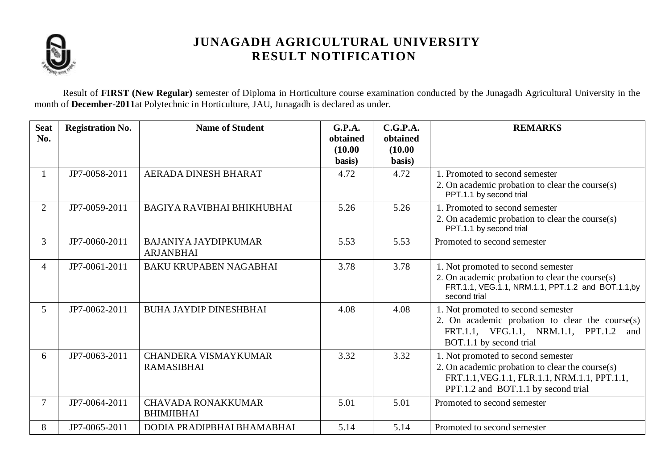

Result of **FIRST (New Regular)** semester of Diploma in Horticulture course examination conducted by the Junagadh Agricultural University in the month of **December-2011**at Polytechnic in Horticulture, JAU, Junagadh is declared as under.

| <b>Seat</b><br>No. | <b>Registration No.</b> | <b>Name of Student</b>                           | G.P.A.<br>obtained<br>(10.00)<br>basis) | C.G.P.A.<br>obtained<br>(10.00)<br>basis) | <b>REMARKS</b>                                                                                                                                                               |
|--------------------|-------------------------|--------------------------------------------------|-----------------------------------------|-------------------------------------------|------------------------------------------------------------------------------------------------------------------------------------------------------------------------------|
|                    | JP7-0058-2011           | AERADA DINESH BHARAT                             | 4.72                                    | 4.72                                      | 1. Promoted to second semester<br>2. On academic probation to clear the course(s)<br>PPT.1.1 by second trial                                                                 |
| 2                  | JP7-0059-2011           | BAGIYA RAVIBHAI BHIKHUBHAI                       | 5.26                                    | 5.26                                      | 1. Promoted to second semester<br>2. On academic probation to clear the course(s)<br>PPT.1.1 by second trial                                                                 |
| $\mathfrak{Z}$     | JP7-0060-2011           | <b>BAJANIYA JAYDIPKUMAR</b><br><b>ARJANBHAI</b>  | 5.53                                    | 5.53                                      | Promoted to second semester                                                                                                                                                  |
| $\overline{4}$     | JP7-0061-2011           | <b>BAKU KRUPABEN NAGABHAI</b>                    | 3.78                                    | 3.78                                      | 1. Not promoted to second semester<br>2. On academic probation to clear the course(s)<br>FRT.1.1, VEG.1.1, NRM.1.1, PPT.1.2 and BOT.1.1,by<br>second trial                   |
| $\mathfrak{S}$     | JP7-0062-2011           | <b>BUHA JAYDIP DINESHBHAI</b>                    | 4.08                                    | 4.08                                      | 1. Not promoted to second semester<br>2. On academic probation to clear the course(s)<br>FRT.1.1, VEG.1.1, NRM.1.1, PPT.1.2<br>and<br>BOT.1.1 by second trial                |
| 6                  | JP7-0063-2011           | <b>CHANDERA VISMAYKUMAR</b><br><b>RAMASIBHAI</b> | 3.32                                    | 3.32                                      | 1. Not promoted to second semester<br>2. On academic probation to clear the course(s)<br>FRT.1.1, VEG.1.1, FLR.1.1, NRM.1.1, PPT.1.1,<br>PPT.1.2 and BOT.1.1 by second trial |
| $\overline{7}$     | JP7-0064-2011           | <b>CHAVADA RONAKKUMAR</b><br><b>BHIMJIBHAI</b>   | 5.01                                    | 5.01                                      | Promoted to second semester                                                                                                                                                  |
| 8                  | JP7-0065-2011           | DODIA PRADIPBHAI BHAMABHAI                       | 5.14                                    | 5.14                                      | Promoted to second semester                                                                                                                                                  |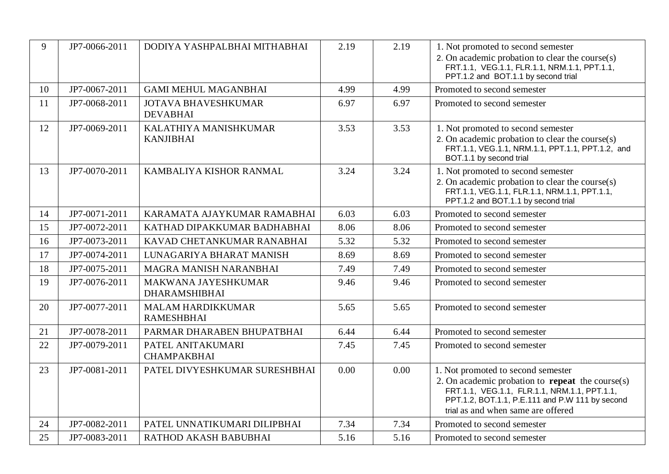| 9  | JP7-0066-2011 | DODIYA YASHPALBHAI MITHABHAI                  | 2.19 | 2.19 | 1. Not promoted to second semester<br>2. On academic probation to clear the course(s)<br>FRT.1.1, VEG.1.1, FLR.1.1, NRM.1.1, PPT.1.1,<br>PPT.1.2 and BOT.1.1 by second trial                                                           |  |
|----|---------------|-----------------------------------------------|------|------|----------------------------------------------------------------------------------------------------------------------------------------------------------------------------------------------------------------------------------------|--|
| 10 | JP7-0067-2011 | <b>GAMI MEHUL MAGANBHAI</b>                   | 4.99 | 4.99 | Promoted to second semester                                                                                                                                                                                                            |  |
| 11 | JP7-0068-2011 | <b>JOTAVA BHAVESHKUMAR</b><br><b>DEVABHAI</b> | 6.97 | 6.97 | Promoted to second semester                                                                                                                                                                                                            |  |
| 12 | JP7-0069-2011 | KALATHIYA MANISHKUMAR<br><b>KANJIBHAI</b>     | 3.53 | 3.53 | 1. Not promoted to second semester<br>2. On academic probation to clear the course(s)<br>FRT.1.1, VEG.1.1, NRM.1.1, PPT.1.1, PPT.1.2, and<br>BOT.1.1 by second trial                                                                   |  |
| 13 | JP7-0070-2011 | KAMBALIYA KISHOR RANMAL                       | 3.24 | 3.24 | 1. Not promoted to second semester<br>2. On academic probation to clear the course(s)<br>FRT.1.1, VEG.1.1, FLR.1.1, NRM.1.1, PPT.1.1,<br>PPT.1.2 and BOT.1.1 by second trial                                                           |  |
| 14 | JP7-0071-2011 | KARAMATA AJAYKUMAR RAMABHAI                   | 6.03 | 6.03 | Promoted to second semester                                                                                                                                                                                                            |  |
| 15 | JP7-0072-2011 | KATHAD DIPAKKUMAR BADHABHAI                   | 8.06 | 8.06 | Promoted to second semester                                                                                                                                                                                                            |  |
| 16 | JP7-0073-2011 | KAVAD CHETANKUMAR RANABHAI                    | 5.32 | 5.32 | Promoted to second semester                                                                                                                                                                                                            |  |
| 17 | JP7-0074-2011 | LUNAGARIYA BHARAT MANISH                      | 8.69 | 8.69 | Promoted to second semester                                                                                                                                                                                                            |  |
| 18 | JP7-0075-2011 | MAGRA MANISH NARANBHAI                        | 7.49 | 7.49 | Promoted to second semester                                                                                                                                                                                                            |  |
| 19 | JP7-0076-2011 | MAKWANA JAYESHKUMAR<br><b>DHARAMSHIBHAI</b>   | 9.46 | 9.46 | Promoted to second semester                                                                                                                                                                                                            |  |
| 20 | JP7-0077-2011 | <b>MALAM HARDIKKUMAR</b><br><b>RAMESHBHAI</b> | 5.65 | 5.65 | Promoted to second semester                                                                                                                                                                                                            |  |
| 21 | JP7-0078-2011 | PARMAR DHARABEN BHUPATBHAI                    | 6.44 | 6.44 | Promoted to second semester                                                                                                                                                                                                            |  |
| 22 | JP7-0079-2011 | PATEL ANITAKUMARI<br><b>CHAMPAKBHAI</b>       | 7.45 | 7.45 | Promoted to second semester                                                                                                                                                                                                            |  |
| 23 | JP7-0081-2011 | PATEL DIVYESHKUMAR SURESHBHAI                 | 0.00 | 0.00 | 1. Not promoted to second semester<br>2. On academic probation to <b>repeat</b> the course(s)<br>FRT.1.1, VEG.1.1, FLR.1.1, NRM.1.1, PPT.1.1,<br>PPT.1.2, BOT.1.1, P.E.111 and P.W 111 by second<br>trial as and when same are offered |  |
| 24 | JP7-0082-2011 | PATEL UNNATIKUMARI DILIPBHAI                  | 7.34 | 7.34 | Promoted to second semester                                                                                                                                                                                                            |  |
| 25 | JP7-0083-2011 | RATHOD AKASH BABUBHAI                         | 5.16 | 5.16 | Promoted to second semester                                                                                                                                                                                                            |  |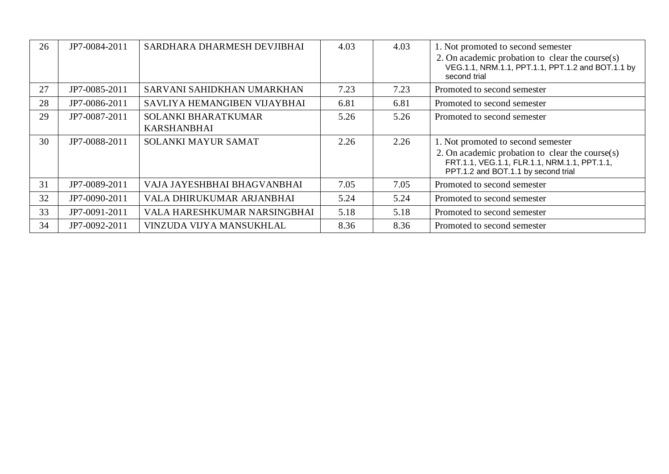| 26 | JP7-0084-2011 | SARDHARA DHARMESH DEVJIBHAI                      | 4.03 | 4.03 | 1. Not promoted to second semester<br>2. On academic probation to clear the course $(s)$<br>VEG.1.1, NRM.1.1, PPT.1.1, PPT.1.2 and BOT.1.1 by<br>second trial                   |
|----|---------------|--------------------------------------------------|------|------|---------------------------------------------------------------------------------------------------------------------------------------------------------------------------------|
| 27 | JP7-0085-2011 | SARVANI SAHIDKHAN UMARKHAN                       | 7.23 | 7.23 | Promoted to second semester                                                                                                                                                     |
| 28 | JP7-0086-2011 | SAVLIYA HEMANGIBEN VIJAYBHAI                     | 6.81 | 6.81 | Promoted to second semester                                                                                                                                                     |
| 29 | JP7-0087-2011 | <b>SOLANKI BHARATKUMAR</b><br><b>KARSHANBHAI</b> | 5.26 | 5.26 | Promoted to second semester                                                                                                                                                     |
| 30 | JP7-0088-2011 | <b>SOLANKI MAYUR SAMAT</b>                       | 2.26 | 2.26 | 1. Not promoted to second semester<br>2. On academic probation to clear the course $(s)$<br>FRT.1.1, VEG.1.1, FLR.1.1, NRM.1.1, PPT.1.1,<br>PPT.1.2 and BOT.1.1 by second trial |
| 31 | JP7-0089-2011 | VAJA JAYESHBHAI BHAGVANBHAI                      | 7.05 | 7.05 | Promoted to second semester                                                                                                                                                     |
| 32 | JP7-0090-2011 | VALA DHIRUKUMAR ARJANBHAI                        | 5.24 | 5.24 | Promoted to second semester                                                                                                                                                     |
| 33 | JP7-0091-2011 | VALA HARESHKUMAR NARSINGBHAI                     | 5.18 | 5.18 | Promoted to second semester                                                                                                                                                     |
| 34 | JP7-0092-2011 | VINZUDA VIJYA MANSUKHLAL                         | 8.36 | 8.36 | Promoted to second semester                                                                                                                                                     |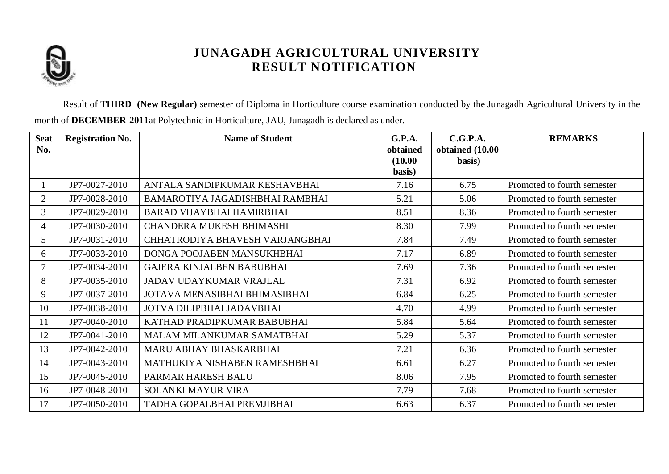

Result of **THIRD (New Regular)** semester of Diploma in Horticulture course examination conducted by the Junagadh Agricultural University in the month of **DECEMBER-2011**at Polytechnic in Horticulture, JAU, Junagadh is declared as under.

| <b>Seat</b><br>No. | <b>Registration No.</b> | <b>Name of Student</b>           | <b>G.P.A.</b><br>obtained<br>(10.00)<br>basis) | C.G.P.A.<br>obtained (10.00<br>basis) | <b>REMARKS</b>              |
|--------------------|-------------------------|----------------------------------|------------------------------------------------|---------------------------------------|-----------------------------|
|                    | JP7-0027-2010           | ANTALA SANDIPKUMAR KESHAVBHAI    | 7.16                                           | 6.75                                  | Promoted to fourth semester |
| $\overline{2}$     | JP7-0028-2010           | BAMAROTIYA JAGADISHBHAI RAMBHAI  | 5.21                                           | 5.06                                  | Promoted to fourth semester |
| 3                  | JP7-0029-2010           | BARAD VIJAYBHAI HAMIRBHAI        | 8.51                                           | 8.36                                  | Promoted to fourth semester |
| $\overline{4}$     | JP7-0030-2010           | <b>CHANDERA MUKESH BHIMASHI</b>  | 8.30                                           | 7.99                                  | Promoted to fourth semester |
| 5                  | JP7-0031-2010           | CHHATRODIYA BHAVESH VARJANGBHAI  | 7.84                                           | 7.49                                  | Promoted to fourth semester |
| 6                  | JP7-0033-2010           | DONGA POOJABEN MANSUKHBHAI       | 7.17                                           | 6.89                                  | Promoted to fourth semester |
| $\overline{7}$     | JP7-0034-2010           | <b>GAJERA KINJALBEN BABUBHAI</b> | 7.69                                           | 7.36                                  | Promoted to fourth semester |
| 8                  | JP7-0035-2010           | JADAV UDAYKUMAR VRAJLAL          | 7.31                                           | 6.92                                  | Promoted to fourth semester |
| 9                  | JP7-0037-2010           | JOTAVA MENASIBHAI BHIMASIBHAI    | 6.84                                           | 6.25                                  | Promoted to fourth semester |
| 10                 | JP7-0038-2010           | JOTVA DILIPBHAI JADAVBHAI        | 4.70                                           | 4.99                                  | Promoted to fourth semester |
| 11                 | JP7-0040-2010           | KATHAD PRADIPKUMAR BABUBHAI      | 5.84                                           | 5.64                                  | Promoted to fourth semester |
| 12                 | JP7-0041-2010           | MALAM MILANKUMAR SAMATBHAI       | 5.29                                           | 5.37                                  | Promoted to fourth semester |
| 13                 | JP7-0042-2010           | MARU ABHAY BHASKARBHAI           | 7.21                                           | 6.36                                  | Promoted to fourth semester |
| 14                 | JP7-0043-2010           | MATHUKIYA NISHABEN RAMESHBHAI    | 6.61                                           | 6.27                                  | Promoted to fourth semester |
| 15                 | JP7-0045-2010           | PARMAR HARESH BALU               | 8.06                                           | 7.95                                  | Promoted to fourth semester |
| 16                 | JP7-0048-2010           | SOLANKI MAYUR VIRA               | 7.79                                           | 7.68                                  | Promoted to fourth semester |
| 17                 | JP7-0050-2010           | TADHA GOPALBHAI PREMJIBHAI       | 6.63                                           | 6.37                                  | Promoted to fourth semester |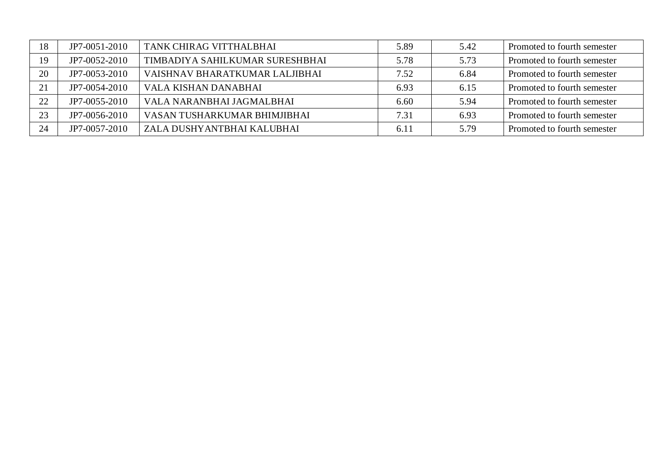| 18 | JP7-0051-2010 | TANK CHIRAG VITTHALBHAI         | 5.89 | 5.42 | Promoted to fourth semester |
|----|---------------|---------------------------------|------|------|-----------------------------|
| 19 | JP7-0052-2010 | TIMBADIYA SAHILKUMAR SURESHBHAI | 5.78 | 5.73 | Promoted to fourth semester |
| 20 | JP7-0053-2010 | VAISHNAV BHARATKUMAR LALJIBHAI  | 7.52 | 6.84 | Promoted to fourth semester |
| 21 | JP7-0054-2010 | VALA KISHAN DANABHAI            | 6.93 | 6.15 | Promoted to fourth semester |
| 22 | JP7-0055-2010 | VALA NARANBHAI JAGMALBHAI       | 6.60 | 5.94 | Promoted to fourth semester |
| 23 | JP7-0056-2010 | VASAN TUSHARKUMAR BHIMJIBHAI    | 7.31 | 6.93 | Promoted to fourth semester |
| 24 | JP7-0057-2010 | ZALA DUSHYANTBHAI KALUBHAI      | 6.11 | 5.79 | Promoted to fourth semester |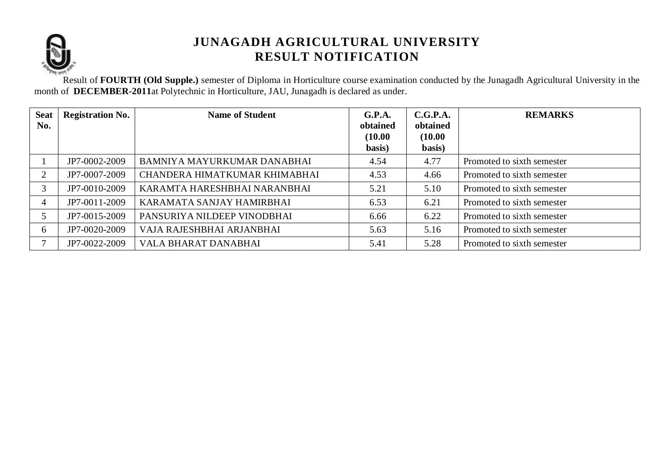

Result of **FOURTH (Old Supple.)** semester of Diploma in Horticulture course examination conducted by the Junagadh Agricultural University in the month of **DECEMBER-2011**at Polytechnic in Horticulture, JAU, Junagadh is declared as under.

| <b>Seat</b><br>No. | <b>Registration No.</b> | <b>Name of Student</b>        | G.P.A.<br>obtained<br>(10.00)<br>basis) | C.G.P.A.<br>obtained<br>(10.00)<br>basis) | <b>REMARKS</b>             |
|--------------------|-------------------------|-------------------------------|-----------------------------------------|-------------------------------------------|----------------------------|
|                    | JP7-0002-2009           | BAMNIYA MAYURKUMAR DANABHAI   | 4.54                                    | 4.77                                      | Promoted to sixth semester |
| $\overline{2}$     | JP7-0007-2009           | CHANDERA HIMATKUMAR KHIMABHAI | 4.53                                    | 4.66                                      | Promoted to sixth semester |
| 3                  | JP7-0010-2009           | KARAMTA HARESHBHAI NARANBHAI  | 5.21                                    | 5.10                                      | Promoted to sixth semester |
| 4                  | JP7-0011-2009           | KARAMATA SANJAY HAMIRBHAI     | 6.53                                    | 6.21                                      | Promoted to sixth semester |
|                    | JP7-0015-2009           | PANSURIYA NILDEEP VINODBHAI   | 6.66                                    | 6.22                                      | Promoted to sixth semester |
| 6                  | JP7-0020-2009           | VAJA RAJESHBHAI ARJANBHAI     | 5.63                                    | 5.16                                      | Promoted to sixth semester |
|                    | JP7-0022-2009           | VALA BHARAT DANABHAI          | 5.41                                    | 5.28                                      | Promoted to sixth semester |